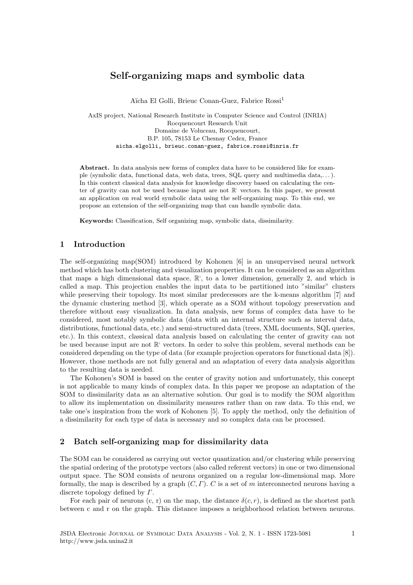# Self-organizing maps and symbolic data

Aïcha El Golli, Brieuc Conan-Guez, Fabrice Rossi<sup>1</sup>

AxIS project, National Research Institute in Computer Science and Control (INRIA) Rocquencourt Research Unit Domaine de Voluceau, Rocquencourt, B.P. 105, 78153 Le Chesnay Cedex, France aicha.elgolli, brieuc.conan-guez, fabrice.rossi@inria.fr

Abstract. In data analysis new forms of complex data have to be considered like for example (symbolic data, functional data, web data, trees, SQL query and multimedia data,. . . ). In this context classical data analysis for knowledge discovery based on calculating the center of gravity can not be used because input are not  $\mathbb{R}^1$  vectors. In this paper, we present an application on real world symbolic data using the self-organizing map. To this end, we propose an extension of the self-organizing map that can handle symbolic data.

Keywords: Classification, Self organizing map, symbolic data, dissimilarity.

## 1 Introduction

The self-organizing map(SOM) introduced by Kohonen [6] is an unsupervised neural network method which has both clustering and visualization properties. It can be considered as an algorithm that maps a high dimensional data space,  $\mathbb{R}^1$ , to a lower dimension, generally 2, and which is called a map. This projection enables the input data to be partitioned into "similar" clusters while preserving their topology. Its most similar predecessors are the k-means algorithm [7] and the dynamic clustering method [3], which operate as a SOM without topology preservation and therefore without easy visualization. In data analysis, new forms of complex data have to be considered, most notably symbolic data (data with an internal structure such as interval data, distributions, functional data, etc.) and semi-structured data (trees, XML documents, SQL queries, etc.). In this context, classical data analysis based on calculating the center of gravity can not be used because input are not  $\mathbb{R}^1$  vectors. In order to solve this problem, several methods can be considered depending on the type of data (for example projection operators for functional data [8]). However, those methods are not fully general and an adaptation of every data analysis algorithm to the resulting data is needed.

The Kohonen's SOM is based on the center of gravity notion and unfortunately, this concept is not applicable to many kinds of complex data. In this paper we propose an adaptation of the SOM to dissimilarity data as an alternative solution. Our goal is to modify the SOM algorithm to allow its implementation on dissimilarity measures rather than on raw data. To this end, we take one's inspiration from the work of Kohonen [5]. To apply the method, only the definition of a dissimilarity for each type of data is necessary and so complex data can be processed.

## 2 Batch self-organizing map for dissimilarity data

The SOM can be considered as carrying out vector quantization and/or clustering while preserving the spatial ordering of the prototype vectors (also called referent vectors) in one or two dimensional output space. The SOM consists of neurons organized on a regular low-dimensional map. More formally, the map is described by a graph  $(C, \Gamma)$ . C is a set of m interconnected neurons having a discrete topology defined by Γ.

For each pair of neurons  $(c, r)$  on the map, the distance  $\delta(c, r)$ , is defined as the shortest path between c and r on the graph. This distance imposes a neighborhood relation between neurons.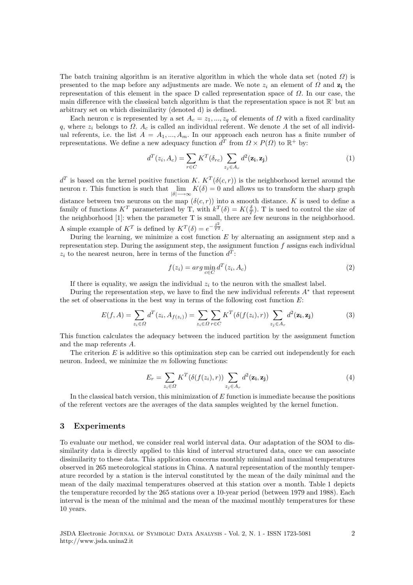The batch training algorithm is an iterative algorithm in which the whole data set (noted  $\Omega$ ) is presented to the map before any adjustments are made. We note  $z_i$  an element of  $\Omega$  and  $z_i$  the representation of this element in the space D called representation space of  $\Omega$ . In our case, the main difference with the classical batch algorithm is that the representation space is not  $\mathbb{R}^1$  but an arbitrary set on which dissimilarity (denoted d) is defined.

Each neuron c is represented by a set  $A_c = z_1, ..., z_q$  of elements of  $\Omega$  with a fixed cardinality q, where  $z_i$  belongs to  $\Omega$ .  $A_c$  is called an individual referent. We denote A the set of all individual referents, i.e. the list  $A = A_1, ..., A_m$ . In our approach each neuron has a finite number of representations. We define a new adequacy function  $d^T$  from  $\Omega \times P(\Omega)$  to  $\mathbb{R}^+$  by:

$$
d^{T}(z_i, A_c) = \sum_{r \in C} K^{T}(\delta_{rc}) \sum_{z_j \in A_r} d^{2}(\mathbf{z_i}, \mathbf{z_j})
$$
\n(1)

 $d^T$  is based on the kernel positive function K.  $K^T(\delta(c,r))$  is the neighborhood kernel around the neuron r. This function is such that  $\lim_{|\delta| \to \infty} K(\delta) = 0$  and allows us to transform the sharp graph

distance between two neurons on the map  $(\delta(c, r))$  into a smooth distance. K is used to define a family of functions  $K^T$  parameterized by T, with  $k^T(\delta) = K(\frac{\delta}{T})$ . T is used to control the size of the neighborhood [1]: when the parameter T is small, there are few neurons in the neighborhood. A simple example of  $K^T$  is defined by  $K^T(\delta) = e^{-\frac{\delta^2}{T^2}}$ .

During the learning, we minimize a cost function  $E$  by alternating an assignment step and a representation step. During the assignment step, the assignment function  $f$  assigns each individual  $z_i$  to the nearest neuron, here in terms of the function  $d^T$ :

$$
f(z_i) = arg \min_{c \in C} d^T(z_i, A_c)
$$
\n<sup>(2)</sup>

If there is equality, we assign the individual  $z<sub>i</sub>$  to the neuron with the smallest label.

During the representation step, we have to find the new individual referents  $A^*$  that represent the set of observations in the best way in terms of the following cost function  $E$ :

$$
E(f, A) = \sum_{z_i \in \Omega} d^T(z_i, A_{f(z_i)}) = \sum_{z_i \in \Omega} \sum_{r \in C} K^T(\delta(f(z_i), r)) \sum_{z_j \in A_r} d^2(\mathbf{z_i}, \mathbf{z_j})
$$
(3)

This function calculates the adequacy between the induced partition by the assignment function and the map referents A.

The criterion  $E$  is additive so this optimization step can be carried out independently for each neuron. Indeed, we minimize the  $m$  following functions:

$$
E_r = \sum_{z_i \in \Omega} K^T(\delta(f(z_i), r)) \sum_{z_j \in A_r} d^2(\mathbf{z_i}, \mathbf{z_j})
$$
(4)

In the classical batch version, this minimization of  $E$  function is immediate because the positions of the referent vectors are the averages of the data samples weighted by the kernel function.

### 3 Experiments

To evaluate our method, we consider real world interval data. Our adaptation of the SOM to dissimilarity data is directly applied to this kind of interval structured data, once we can associate dissimilarity to these data. This application concerns monthly minimal and maximal temperatures observed in 265 meteorological stations in China. A natural representation of the monthly temperature recorded by a station is the interval constituted by the mean of the daily minimal and the mean of the daily maximal temperatures observed at this station over a month. Table 1 depicts the temperature recorded by the 265 stations over a 10-year period (between 1979 and 1988). Each interval is the mean of the minimal and the mean of the maximal monthly temperatures for these 10 years.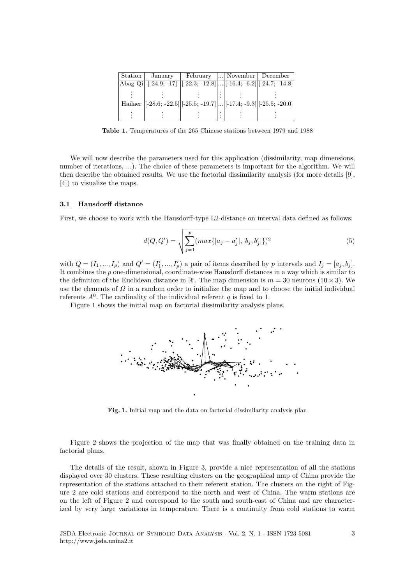| Station            | January | February                                                                                                  |  | November   December |
|--------------------|---------|-----------------------------------------------------------------------------------------------------------|--|---------------------|
| $ \text{Abag Qi} $ |         | $[-24.9; -17]$ $[-22.3; -12.8]$ $[-16.4; -6.2]$ $[-24.7; -14.8]$                                          |  |                     |
|                    |         |                                                                                                           |  |                     |
|                    |         | Hailaer $\vert [-28.6; -22.5] \vert [-25.5; -19.7] \vert  \vert [-17.4; -9.3] \vert [-25.5; -20.0] \vert$ |  |                     |
|                    |         |                                                                                                           |  |                     |

Table 1. Temperatures of the 265 Chinese stations between 1979 and 1988

We will now describe the parameters used for this application (dissimilarity, map dimensions, number of iterations, ...). The choice of these parameters is important for the algorithm. We will then describe the obtained results. We use the factorial dissimilarity analysis (for more details [9], [4]) to visualize the maps.

#### 3.1 Hausdorff distance

First, we choose to work with the Hausdorff-type L2-distance on interval data defined as follows:

$$
d(Q, Q') = \sqrt{\sum_{j=1}^{p} (max\{|a_j - a'_j|, |b_j, b'_j|\})^2}
$$
(5)

with  $Q = (I_1, ..., I_p)$  and  $Q' = (I'_1, ..., I'_p)$  a pair of items described by p intervals and  $I_j = [a_j, b_j]$ . It combines the p one-dimensional, coordinate-wise Hausdorff distances in a way which is similar to the definition of the Euclidean distance in  $\mathbb{R}^1$ . The map dimension is  $m = 30$  neurons  $(10 \times 3)$ . We use the elements of  $\Omega$  in a random order to initialize the map and to choose the initial individual referents  $A^0$ . The cardinality of the individual referent q is fixed to 1.

Figure 1 shows the initial map on factorial dissimilarity analysis plans.



Fig. 1. Initial map and the data on factorial dissimilarity analysis plan

Figure 2 shows the projection of the map that was finally obtained on the training data in factorial plans.

The details of the result, shown in Figure 3, provide a nice representation of all the stations displayed over 30 clusters. These resulting clusters on the geographical map of China provide the representation of the stations attached to their referent station. The clusters on the right of Figure 2 are cold stations and correspond to the north and west of China. The warm stations are on the left of Figure 2 and correspond to the south and south-east of China and are characterized by very large variations in temperature. There is a continuity from cold stations to warm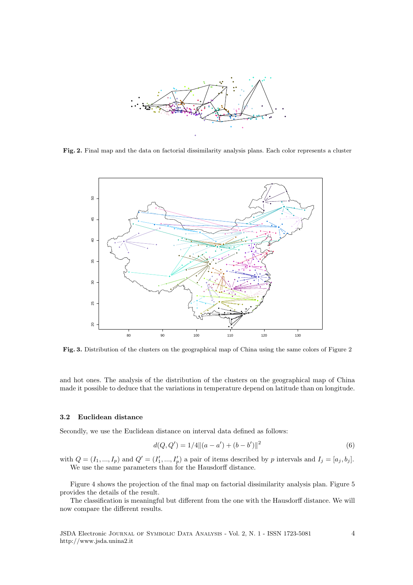

Fig. 2. Final map and the data on factorial dissimilarity analysis plans. Each color represents a cluster



Fig. 3. Distribution of the clusters on the geographical map of China using the same colors of Figure 2

and hot ones. The analysis of the distribution of the clusters on the geographical map of China made it possible to deduce that the variations in temperature depend on latitude than on longitude.

### 3.2 Euclidean distance

Secondly, we use the Euclidean distance on interval data defined as follows:

$$
d(Q, Q') = 1/4 ||(a - a') + (b - b')||^2
$$
\n(6)

with  $Q = (I_1, ..., I_p)$  and  $Q' = (I'_1, ..., I'_p)$  a pair of items described by p intervals and  $I_j = [a_j, b_j]$ . We use the same parameters than for the Hausdorff distance.

Figure 4 shows the projection of the final map on factorial dissimilarity analysis plan. Figure 5 provides the details of the result.

The classification is meaningful but different from the one with the Hausdorff distance. We will now compare the different results.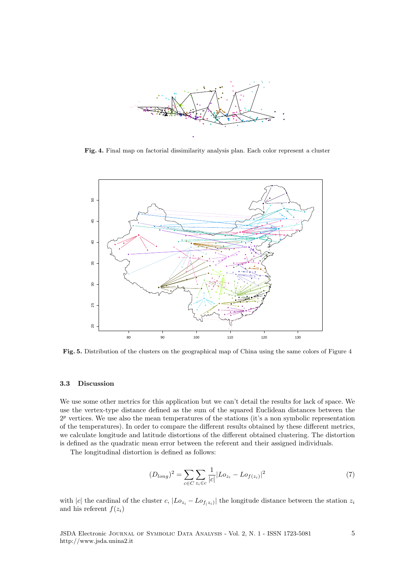

Fig. 4. Final map on factorial dissimilarity analysis plan. Each color represent a cluster



Fig. 5. Distribution of the clusters on the geographical map of China using the same colors of Figure 4

### 3.3 Discussion

We use some other metrics for this application but we can't detail the results for lack of space. We use the vertex-type distance defined as the sum of the squared Euclidean distances between the  $2^p$  vertices. We use also the mean temperatures of the stations (it's a non symbolic representation of the temperatures). In order to compare the different results obtained by these different metrics, we calculate longitude and latitude distortions of the different obtained clustering. The distortion is defined as the quadratic mean error between the referent and their assigned individuals.

The longitudinal distortion is defined as follows:

$$
(D_{long})^2 = \sum_{c \in C} \sum_{z_i \in c} \frac{1}{|c|} |Lo_{z_i} - Lo_{f(z_i)}|^2
$$
\n(7)

with |c| the cardinal of the cluster c,  $|Lo_{z_i} - Lo_{f(z_i)}|$  the longitude distance between the station  $z_i$ and his referent  $f(z_i)$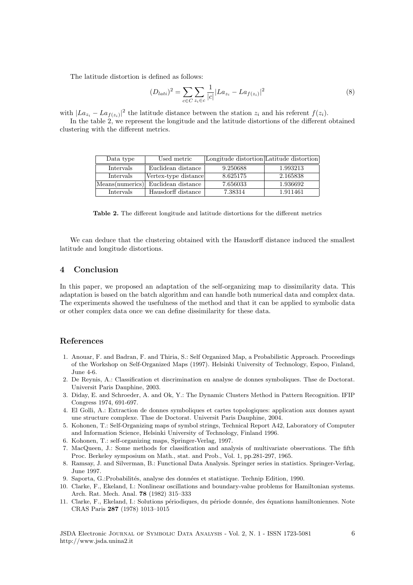The latitude distortion is defined as follows:

$$
(D_{lati})^2 = \sum_{c \in C} \sum_{z_i \in c} \frac{1}{|c|} |La_{z_i} - La_{f(z_i)}|^2
$$
\n(8)

with  $|La_{z_i} - La_{f(z_i)}|^2$  the latitude distance between the station  $z_i$  and his referent  $f(z_i)$ .

In the table 2, we represent the longitude and the latitude distortions of the different obtained clustering with the different metrics.

| Data type        | Used metric          | Longitude distortion Latitude distortion |          |
|------------------|----------------------|------------------------------------------|----------|
| <b>Intervals</b> | Euclidean distance   | 9.250688                                 | 1.993213 |
| Intervals        | Vertex-type distance | 8.625175                                 | 2.165838 |
| Means(numerics)  | Euclidean distance   | 7.656033                                 | 1.936692 |
| <i>Intervals</i> | Hausdorff distance   | 7.38314                                  | 1.911461 |

Table 2. The different longitude and latitude distortions for the different metrics

We can deduce that the clustering obtained with the Hausdorff distance induced the smallest latitude and longitude distortions.

# 4 Conclusion

In this paper, we proposed an adaptation of the self-organizing map to dissimilarity data. This adaptation is based on the batch algorithm and can handle both numerical data and complex data. The experiments showed the usefulness of the method and that it can be applied to symbolic data or other complex data once we can define dissimilarity for these data.

### References

- 1. Anouar, F. and Badran, F. and Thiria, S.: Self Organized Map, a Probabilistic Approach. Proceedings of the Workshop on Self-Organized Maps (1997). Helsinki University of Technology, Espoo, Finland, June 4-6.
- 2. De Reynis, A.: Classification et discrimination en analyse de donnes symboliques. Thse de Doctorat. Universit Paris Dauphine, 2003.
- 3. Diday, E. and Schroeder, A. and Ok, Y.: The Dynamic Clusters Method in Pattern Recognition. IFIP Congress 1974, 691-697.
- 4. El Golli, A.: Extraction de donnes symboliques et cartes topologiques: application aux donnes ayant une structure complexe. Thse de Doctorat. Universit Paris Dauphine, 2004.
- 5. Kohonen, T.: Self-Organizing maps of symbol strings, Technical Report A42, Laboratory of Computer and Information Science, Helsinki University of Technology, Finland 1996.
- 6. Kohonen, T.: self-organizing maps, Springer-Verlag, 1997.
- 7. MacQueen, J.: Some methods for classification and analysis of multivariate observations. The fifth Proc. Berkeley symposium on Math., stat. and Prob., Vol. 1, pp.281-297, 1965.
- 8. Ramsay, J. and Silverman, B.: Functional Data Analysis. Springer series in statistics. Springer-Verlag, June 1997.
- 9. Saporta, G.: Probabilités, analyse des données et statistique. Technip Edition, 1990.
- 10. Clarke, F., Ekeland, I.: Nonlinear oscillations and boundary-value problems for Hamiltonian systems. Arch. Rat. Mech. Anal. 78 (1982) 315–333
- 11. Clarke, F., Ekeland, I.: Solutions périodiques, du période donnée, des équations hamiltoniennes. Note CRAS Paris 287 (1978) 1013–1015